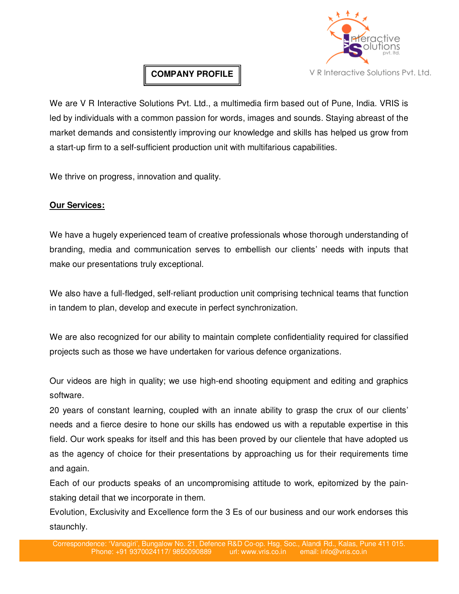

# **COMPANY PROFILE**

We are V R Interactive Solutions Pvt. Ltd., a multimedia firm based out of Pune, India. VRIS is led by individuals with a common passion for words, images and sounds. Staying abreast of the market demands and consistently improving our knowledge and skills has helped us grow from a start-up firm to a self-sufficient production unit with multifarious capabilities.

We thrive on progress, innovation and quality.

### **Our Services:**

We have a hugely experienced team of creative professionals whose thorough understanding of branding, media and communication serves to embellish our clients' needs with inputs that make our presentations truly exceptional.

We also have a full-fledged, self-reliant production unit comprising technical teams that function in tandem to plan, develop and execute in perfect synchronization.

We are also recognized for our ability to maintain complete confidentiality required for classified projects such as those we have undertaken for various defence organizations.

Our videos are high in quality; we use high-end shooting equipment and editing and graphics software.

20 years of constant learning, coupled with an innate ability to grasp the crux of our clients' needs and a fierce desire to hone our skills has endowed us with a reputable expertise in this field. Our work speaks for itself and this has been proved by our clientele that have adopted us as the agency of choice for their presentations by approaching us for their requirements time and again.

Each of our products speaks of an uncompromising attitude to work, epitomized by the painstaking detail that we incorporate in them.

Evolution, Exclusivity and Excellence form the 3 Es of our business and our work endorses this staunchly.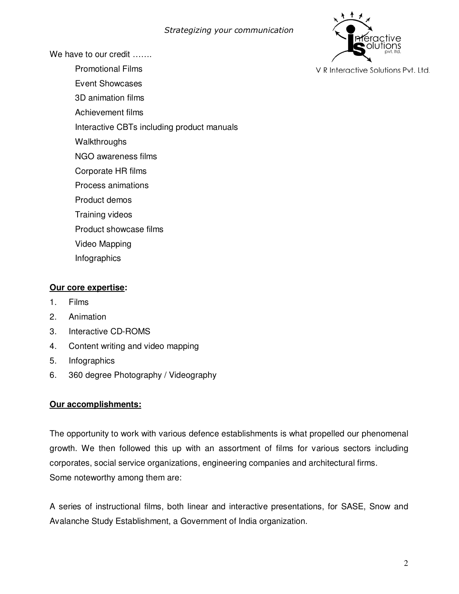

We have to our credit …….

- Promotional Films
- Event Showcases
- 3D animation films
- Achievement films
- Interactive CBTs including product manuals
- **Walkthroughs**
- NGO awareness films
- Corporate HR films
- Process animations
- Product demos
- Training videos
- Product showcase films
- Video Mapping
- Infographics

### **Our core expertise:**

- 1. Films
- 2. Animation
- 3. Interactive CD-ROMS
- 4. Content writing and video mapping
- 5. Infographics
- 6. 360 degree Photography / Videography

### **Our accomplishments:**

The opportunity to work with various defence establishments is what propelled our phenomenal growth. We then followed this up with an assortment of films for various sectors including corporates, social service organizations, engineering companies and architectural firms. Some noteworthy among them are:

A series of instructional films, both linear and interactive presentations, for SASE, Snow and Avalanche Study Establishment, a Government of India organization.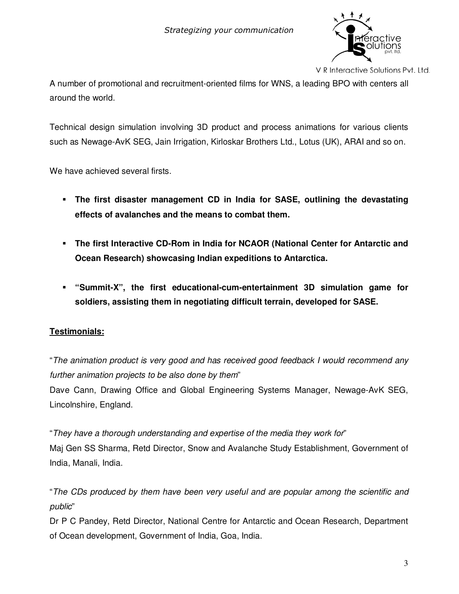

V R Interactive Solutions Pvt. Ltd.

A number of promotional and recruitment-oriented films for WNS, a leading BPO with centers all around the world.

Technical design simulation involving 3D product and process animations for various clients such as Newage-AvK SEG, Jain Irrigation, Kirloskar Brothers Ltd., Lotus (UK), ARAI and so on.

We have achieved several firsts.

- **The first disaster management CD in India for SASE, outlining the devastating effects of avalanches and the means to combat them.**
- **The first Interactive CD-Rom in India for NCAOR (National Center for Antarctic and Ocean Research) showcasing Indian expeditions to Antarctica.**
- **"Summit-X", the first educational-cum-entertainment 3D simulation game for soldiers, assisting them in negotiating difficult terrain, developed for SASE.**

# **Testimonials:**

"The animation product is very good and has received good feedback I would recommend any further animation projects to be also done by them"

Dave Cann, Drawing Office and Global Engineering Systems Manager, Newage-AvK SEG, Lincolnshire, England.

"They have a thorough understanding and expertise of the media they work for" Maj Gen SS Sharma, Retd Director, Snow and Avalanche Study Establishment, Government of India, Manali, India.

"The CDs produced by them have been very useful and are popular among the scientific and public"

Dr P C Pandey, Retd Director, National Centre for Antarctic and Ocean Research, Department of Ocean development, Government of India, Goa, India.